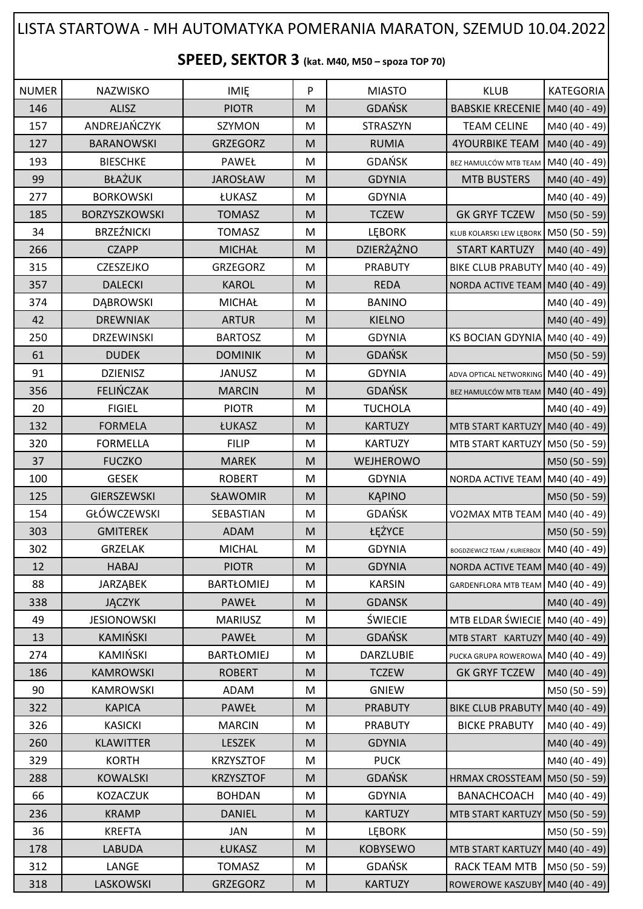## LISTA STARTOWA - MH AUTOMATYKA POMERANIA MARATON, SZEMUD 10.04.2022

**SPEED, SEKTOR 3 (kat. M40, M50 – spoza TOP 70)**

| <b>NUMER</b> | NAZWISKO             | <b>IMIE</b>       | P | <b>MIASTO</b>    | <b>KLUB</b>                                | <b>KATEGORIA</b> |
|--------------|----------------------|-------------------|---|------------------|--------------------------------------------|------------------|
| 146          | <b>ALISZ</b>         | <b>PIOTR</b>      | M | <b>GDAŃSK</b>    | BABSKIE KRECENIE   M40 (40 - 49)           |                  |
| 157          | ANDREJAŃCZYK         | SZYMON            | M | STRASZYN         | <b>TEAM CELINE</b>                         | M40 (40 - 49)    |
| 127          | <b>BARANOWSKI</b>    | <b>GRZEGORZ</b>   | M | <b>RUMIA</b>     | <b>4YOURBIKE TEAM</b>                      | M40 (40 - 49)    |
| 193          | <b>BIESCHKE</b>      | PAWEŁ             | M | <b>GDAŃSK</b>    | BEZ HAMULCÓW MTB TEAM                      | M40 (40 - 49)    |
| 99           | <b>BŁAŻUK</b>        | <b>JAROSŁAW</b>   | M | <b>GDYNIA</b>    | <b>MTB BUSTERS</b>                         | M40 (40 - 49)    |
| 277          | <b>BORKOWSKI</b>     | ŁUKASZ            | M | <b>GDYNIA</b>    |                                            | M40 (40 - 49)    |
| 185          | <b>BORZYSZKOWSKI</b> | <b>TOMASZ</b>     | M | <b>TCZEW</b>     | <b>GK GRYF TCZEW</b>                       | M50 (50 - 59)    |
| 34           | <b>BRZEŹNICKI</b>    | <b>TOMASZ</b>     | M | <b>LEBORK</b>    | KLUB KOLARSKI LEW LĘBORK   M50 (50 - 59)   |                  |
| 266          | <b>CZAPP</b>         | <b>MICHAŁ</b>     | M | DZIERŻĄŻNO       | <b>START KARTUZY</b>                       | M40 (40 - 49)    |
| 315          | CZESZEJKO            | <b>GRZEGORZ</b>   | M | <b>PRABUTY</b>   | BIKE CLUB PRABUTY M40 (40 - 49)            |                  |
| 357          | <b>DALECKI</b>       | <b>KAROL</b>      | M | <b>REDA</b>      | NORDA ACTIVE TEAM M40 (40 - 49)            |                  |
| 374          | DĄBROWSKI            | <b>MICHAŁ</b>     | M | <b>BANINO</b>    |                                            | M40 (40 - 49)    |
| 42           | <b>DREWNIAK</b>      | <b>ARTUR</b>      | M | <b>KIELNO</b>    |                                            | M40 (40 - 49)    |
| 250          | <b>DRZEWINSKI</b>    | <b>BARTOSZ</b>    | M | <b>GDYNIA</b>    | KS BOCIAN GDYNIA M40 (40 - 49)             |                  |
| 61           | <b>DUDEK</b>         | <b>DOMINIK</b>    | M | <b>GDAŃSK</b>    |                                            | M50 (50 - 59)    |
| 91           | <b>DZIENISZ</b>      | JANUSZ            | M | <b>GDYNIA</b>    | ADVA OPTICAL NETWORKING M40 (40 - 49)      |                  |
| 356          | <b>FELIŃCZAK</b>     | <b>MARCIN</b>     | M | <b>GDAŃSK</b>    | BEZ HAMULCÓW MTB TEAM   M40 (40 - 49)      |                  |
| 20           | <b>FIGIEL</b>        | <b>PIOTR</b>      | M | <b>TUCHOLA</b>   |                                            | M40 (40 - 49)    |
| 132          | <b>FORMELA</b>       | ŁUKASZ            | M | <b>KARTUZY</b>   | MTB START KARTUZY M40 (40 - 49)            |                  |
| 320          | <b>FORMELLA</b>      | <b>FILIP</b>      | M | <b>KARTUZY</b>   | MTB START KARTUZY M50 (50 - 59)            |                  |
| 37           | <b>FUCZKO</b>        | <b>MAREK</b>      | M | WEJHEROWO        |                                            | M50 (50 - 59)    |
| 100          | <b>GESEK</b>         | <b>ROBERT</b>     | M | <b>GDYNIA</b>    | NORDA ACTIVE TEAM   M40 (40 - 49)          |                  |
| 125          | <b>GIERSZEWSKI</b>   | SŁAWOMIR          | M | <b>KĄPINO</b>    |                                            | M50 (50 - 59)    |
| 154          | <b>GŁÓWCZEWSKI</b>   | SEBASTIAN         | M | <b>GDAŃSK</b>    | VO2MAX MTB TEAM M40 (40 - 49)              |                  |
| 303          | <b>GMITEREK</b>      | <b>ADAM</b>       | M | ŁĘŻYCE           |                                            | M50 (50 - 59)    |
| 302          | <b>GRZELAK</b>       | <b>MICHAL</b>     | M | <b>GDYNIA</b>    | BOGDZIEWICZ TEAM / KURIERBOX M40 (40 - 49) |                  |
| 12           | <b>HABAJ</b>         | <b>PIOTR</b>      | M | <b>GDYNIA</b>    | NORDA ACTIVE TEAM   M40 (40 - 49)          |                  |
| 88           | <b>JARZĄBEK</b>      | <b>BARTŁOMIEJ</b> | M | <b>KARSIN</b>    | GARDENFLORA MTB TEAM M40 (40 - 49)         |                  |
| 338          | <b>JĄCZYK</b>        | PAWEŁ             | M | <b>GDANSK</b>    |                                            | M40 (40 - 49)    |
| 49           | <b>JESIONOWSKI</b>   | <b>MARIUSZ</b>    | M | <b>ŚWIECIE</b>   | MTB ELDAR ŚWIECIE M40 (40 - 49)            |                  |
| 13           | KAMIŃSKI             | <b>PAWEŁ</b>      | M | <b>GDAŃSK</b>    | MTB START KARTUZY M40 (40 - 49)            |                  |
| 274          | KAMIŃSKI             | <b>BARTŁOMIEJ</b> | M | <b>DARZLUBIE</b> | PUCKA GRUPA ROWEROWA M40 (40 - 49)         |                  |
| 186          | <b>KAMROWSKI</b>     | <b>ROBERT</b>     | M | <b>TCZEW</b>     | <b>GK GRYF TCZEW</b>                       | M40 (40 - 49)    |
| 90           | <b>KAMROWSKI</b>     | ADAM              | M | <b>GNIEW</b>     |                                            | M50 (50 - 59)    |
| 322          | <b>KAPICA</b>        | <b>PAWEŁ</b>      | M | <b>PRABUTY</b>   | BIKE CLUB PRABUTY M40 (40 - 49)            |                  |
| 326          | <b>KASICKI</b>       | <b>MARCIN</b>     | M | <b>PRABUTY</b>   | <b>BICKE PRABUTY</b>                       | M40 (40 - 49)    |
| 260          | <b>KLAWITTER</b>     | LESZEK            | M | <b>GDYNIA</b>    |                                            | M40 (40 - 49)    |
| 329          | <b>KORTH</b>         | <b>KRZYSZTOF</b>  | M | <b>PUCK</b>      |                                            | M40 (40 - 49)    |
| 288          | <b>KOWALSKI</b>      | <b>KRZYSZTOF</b>  | M | <b>GDAŃSK</b>    | HRMAX CROSSTEAM   M50 (50 - 59)            |                  |
| 66           | <b>KOZACZUK</b>      | <b>BOHDAN</b>     | M | <b>GDYNIA</b>    | <b>BANACHCOACH</b>                         | M40 (40 - 49)    |
| 236          | <b>KRAMP</b>         | <b>DANIEL</b>     | M | <b>KARTUZY</b>   | MTB START KARTUZY                          | M50 (50 - 59)    |
| 36           | <b>KREFTA</b>        | <b>JAN</b>        | M | <b>LEBORK</b>    |                                            | M50 (50 - 59)    |
| 178          | <b>LABUDA</b>        | ŁUKASZ            | M | <b>KOBYSEWO</b>  | MTB START KARTUZY M40 (40 - 49)            |                  |
| 312          | LANGE                | <b>TOMASZ</b>     | M | GDAŃSK           | RACK TEAM MTB                              | M50 (50 - 59)    |
| 318          | LASKOWSKI            | GRZEGORZ          | M | <b>KARTUZY</b>   | ROWEROWE KASZUBY M40 (40 - 49)             |                  |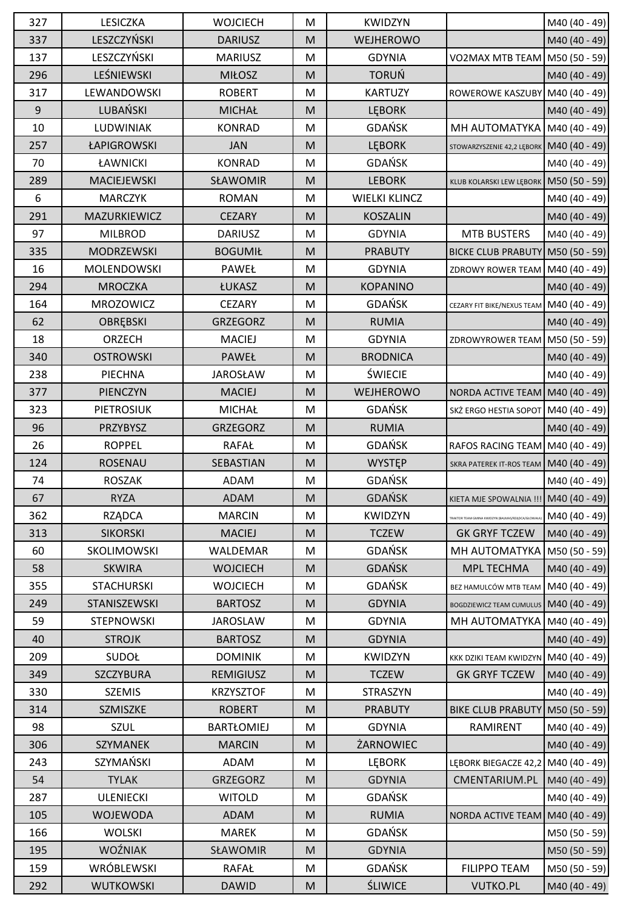| 327 | <b>LESICZKA</b>    | <b>WOJCIECH</b>   | M | <b>KWIDZYN</b>       |                                          | M40 (40 - 49)   |
|-----|--------------------|-------------------|---|----------------------|------------------------------------------|-----------------|
| 337 | LESZCZYŃSKI        | <b>DARIUSZ</b>    | M | WEJHEROWO            |                                          | M40 (40 - 49)   |
| 137 | LESZCZYŃSKI        | <b>MARIUSZ</b>    | M | <b>GDYNIA</b>        | VO2MAX MTB TEAM   M50 (50 - 59)          |                 |
| 296 | LEŚNIEWSKI         | <b>MIŁOSZ</b>     | M | <b>TORUŃ</b>         |                                          | M40 (40 - 49)   |
| 317 | LEWANDOWSKI        | <b>ROBERT</b>     | M | <b>KARTUZY</b>       | ROWEROWE KASZUBY                         | M40 (40 - 49)   |
| 9   | LUBAŃSKI           | <b>MICHAŁ</b>     | M | <b>LEBORK</b>        |                                          | M40 (40 - 49)   |
| 10  | LUDWINIAK          | <b>KONRAD</b>     | M | GDAŃSK               | MH AUTOMATYKA                            | M40 (40 - 49)   |
| 257 | ŁAPIGROWSKI        | <b>JAN</b>        | M | <b>LEBORK</b>        | STOWARZYSZENIE 42,2 LĘBORK               | M40 (40 - 49)   |
| 70  | ŁAWNICKI           | <b>KONRAD</b>     | M | <b>GDAŃSK</b>        |                                          | M40 (40 - 49)   |
| 289 | MACIEJEWSKI        | SŁAWOMIR          | M | <b>LEBORK</b>        | KLUB KOLARSKI LEW LĘBORK                 | M50 (50 - 59)   |
| 6   | <b>MARCZYK</b>     | <b>ROMAN</b>      | M | <b>WIELKI KLINCZ</b> |                                          | M40 (40 - 49)   |
| 291 | MAZURKIEWICZ       | <b>CEZARY</b>     | M | <b>KOSZALIN</b>      |                                          | M40 (40 - 49)   |
| 97  | <b>MILBROD</b>     | <b>DARIUSZ</b>    | M | <b>GDYNIA</b>        | <b>MTB BUSTERS</b>                       | M40 (40 - 49)   |
| 335 | <b>MODRZEWSKI</b>  | <b>BOGUMIŁ</b>    | M | <b>PRABUTY</b>       | <b>BICKE CLUB PRABUTY</b>                | M50 (50 - 59)   |
| 16  | <b>MOLENDOWSKI</b> | PAWEŁ             | M | <b>GDYNIA</b>        | ZDROWY ROWER TEAM   M40 (40 - 49)        |                 |
| 294 | <b>MROCZKA</b>     | ŁUKASZ            | M | <b>KOPANINO</b>      |                                          | M40 (40 - 49)   |
| 164 | <b>MROZOWICZ</b>   | <b>CEZARY</b>     | M | <b>GDAŃSK</b>        | CEZARY FIT BIKE/NEXUS TEAM               | M40 (40 - 49)   |
| 62  | <b>OBREBSKI</b>    | <b>GRZEGORZ</b>   | M | <b>RUMIA</b>         |                                          | M40 (40 - 49)   |
| 18  | ORZECH             | <b>MACIEJ</b>     | M | <b>GDYNIA</b>        | ZDROWYROWER TEAM                         | M50 (50 - 59)   |
| 340 | <b>OSTROWSKI</b>   | PAWEŁ             | M | <b>BRODNICA</b>      |                                          | M40 (40 - 49)   |
| 238 | PIECHNA            | <b>JAROSŁAW</b>   | M | <b>ŚWIECIE</b>       |                                          | M40 (40 - 49)   |
| 377 | PIENCZYN           | <b>MACIEJ</b>     | M | WEJHEROWO            | NORDA ACTIVE TEAM M40 (40 - 49)          |                 |
| 323 | <b>PIETROSIUK</b>  | <b>MICHAŁ</b>     | M | <b>GDAŃSK</b>        | SKŻ ERGO HESTIA SOPOT                    | $MA0(40 - 49)$  |
| 96  | PRZYBYSZ           | GRZEGORZ          | M | <b>RUMIA</b>         |                                          | M40 (40 - 49)   |
| 26  | <b>ROPPEL</b>      | <b>RAFAŁ</b>      | M | <b>GDAŃSK</b>        | RAFOS RACING TEAM M40 (40 - 49)          |                 |
| 124 | <b>ROSENAU</b>     | SEBASTIAN         | M | <b>WYSTEP</b>        | SKRA PATEREK IT-ROS TEAM   M40 (40 - 49) |                 |
| 74  | <b>ROSZAK</b>      | ADAM              | M | <b>GDAŃSK</b>        |                                          | M40 (40 - 49)   |
| 67  | <b>RYZA</b>        | ADAM              | M | GDAŃSK               | KIETA MJE SPOWALNIA !!! M40 (40 - 49)    |                 |
| 362 | <b>RZĄDCA</b>      | <b>MARCIN</b>     | M | <b>KWIDZYN</b>       |                                          | M40 (40 - 49)   |
| 313 | <b>SIKORSKI</b>    | <b>MACIEJ</b>     | M | <b>TCZEW</b>         | <b>GK GRYF TCZEW</b>                     | M40 $(40 - 49)$ |
| 60  | SKOLIMOWSKI        | WALDEMAR          | M | <b>GDAŃSK</b>        | MH AUTOMATYKA                            | M50 (50 - 59)   |
| 58  | <b>SKWIRA</b>      | <b>WOJCIECH</b>   | M | <b>GDAŃSK</b>        | MPL TECHMA                               | M40 (40 - 49)   |
| 355 | <b>STACHURSKI</b>  | <b>WOJCIECH</b>   | M | <b>GDAŃSK</b>        | BEZ HAMULCÓW MTB TEAM   M40 (40 - 49)    |                 |
| 249 | STANISZEWSKI       | <b>BARTOSZ</b>    | M | <b>GDYNIA</b>        | <b>BOGDZIEWICZ TEAM CUMULUS</b>          | M40 (40 - 49)   |
| 59  | <b>STEPNOWSKI</b>  | <b>JAROSLAW</b>   | M | <b>GDYNIA</b>        | MH AUTOMATYKA                            | $M40(40-49)$    |
| 40  | <b>STROJK</b>      | <b>BARTOSZ</b>    | M | <b>GDYNIA</b>        |                                          | M40 (40 - 49)   |
| 209 | <b>SUDOŁ</b>       | <b>DOMINIK</b>    | М | <b>KWIDZYN</b>       | KKK DZIKI TEAM KWIDZYN                   | M40 (40 - 49)   |
| 349 | SZCZYBURA          | REMIGIUSZ         | M | <b>TCZEW</b>         | <b>GK GRYF TCZEW</b>                     | M40 (40 - 49)   |
| 330 | <b>SZEMIS</b>      | <b>KRZYSZTOF</b>  | M | <b>STRASZYN</b>      |                                          | M40 (40 - 49)   |
| 314 | SZMISZKE           | <b>ROBERT</b>     | M | <b>PRABUTY</b>       | <b>BIKE CLUB PRABUTY</b>                 | M50 (50 - 59)   |
| 98  | <b>SZUL</b>        | <b>BARTŁOMIEJ</b> | M | <b>GDYNIA</b>        | RAMIRENT                                 | M40 (40 - 49)   |
| 306 | <b>SZYMANEK</b>    | <b>MARCIN</b>     | M | ŻARNOWIEC            |                                          | M40 (40 - 49)   |
| 243 | SZYMAŃSKI          | ADAM              | M | <b>LEBORK</b>        | LĘBORK BIEGACZE 42,2 M40 (40 - 49)       |                 |
| 54  | <b>TYLAK</b>       | <b>GRZEGORZ</b>   | M | <b>GDYNIA</b>        | CMENTARIUM.PL                            | M40 (40 - 49)   |
| 287 | <b>ULENIECKI</b>   | <b>WITOLD</b>     | M | <b>GDAŃSK</b>        |                                          | M40 (40 - 49)   |
| 105 | <b>WOJEWODA</b>    | <b>ADAM</b>       | M | <b>RUMIA</b>         | NORDA ACTIVE TEAM                        | M40 (40 - 49)   |
| 166 | <b>WOLSKI</b>      | <b>MAREK</b>      | M | <b>GDAŃSK</b>        |                                          | M50 (50 - 59)   |
| 195 | <b>WOŹNIAK</b>     | SŁAWOMIR          | M | <b>GDYNIA</b>        |                                          | M50 (50 - 59)   |
| 159 | WRÓBLEWSKI         | <b>RAFAŁ</b>      | M | <b>GDAŃSK</b>        | <b>FILIPPO TEAM</b>                      | M50 (50 - 59)   |
| 292 | <b>WUTKOWSKI</b>   | <b>DAWID</b>      | M | <b>ŚLIWICE</b>       | <b>VUTKO.PL</b>                          | M40 (40 - 49)   |